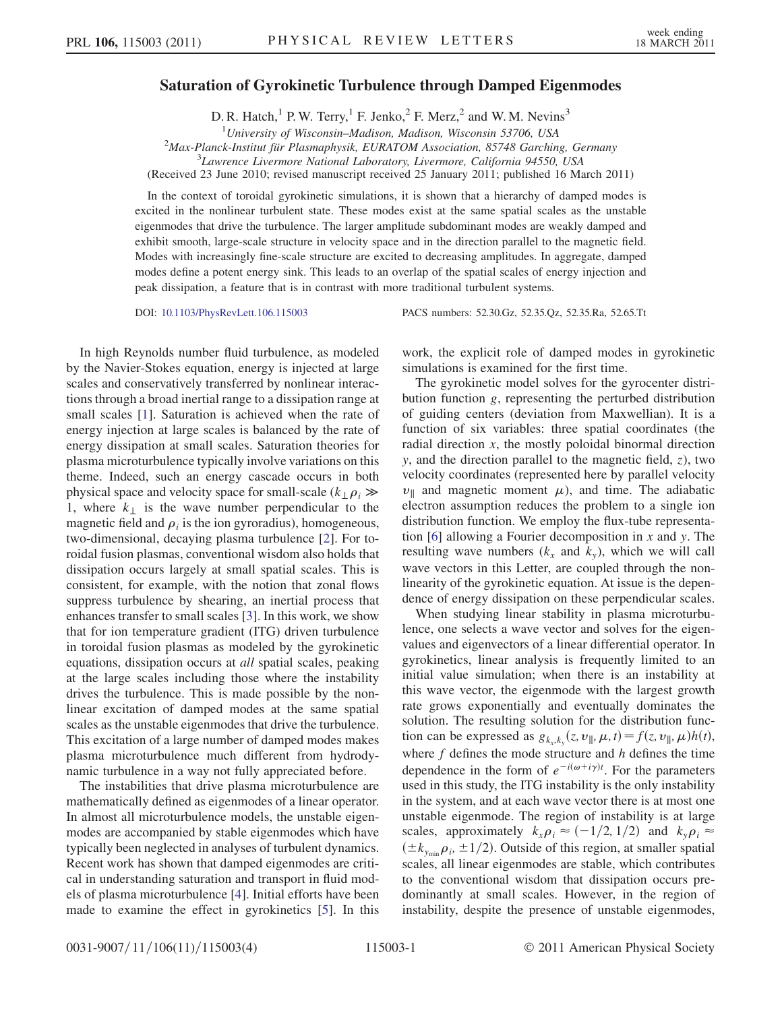## Saturation of Gyrokinetic Turbulence through Damped Eigenmodes

D. R. Hatch,<sup>1</sup> P. W. Terry,<sup>1</sup> F. Jenko,<sup>2</sup> F. Merz,<sup>2</sup> and W. M. Nevins<sup>3</sup>

<sup>1</sup>University of Wisconsin-Madison, Madison, Wisconsin 53706, USA  $^{1}$ University of Wisconsin–Madison, Madison, Wisconsin 53706, USA<br><sup>2</sup>Max Planck Institut für Plasmaphysik, EUPATOM Association, 85748 Garchin<sup>2</sup>

Max-Planck-Institut für Plasmaphysik, EURATOM Association, 85748 Garching, Germany<br><sup>3</sup> Laurence Livermore National Laboratory, Livermore, California 94550, USA

Lawrence Livermore National Laboratory, Livermore, California 94550, USA

(Received 23 June 2010; revised manuscript received 25 January 2011; published 16 March 2011)

In the context of toroidal gyrokinetic simulations, it is shown that a hierarchy of damped modes is excited in the nonlinear turbulent state. These modes exist at the same spatial scales as the unstable eigenmodes that drive the turbulence. The larger amplitude subdominant modes are weakly damped and exhibit smooth, large-scale structure in velocity space and in the direction parallel to the magnetic field. Modes with increasingly fine-scale structure are excited to decreasing amplitudes. In aggregate, damped modes define a potent energy sink. This leads to an overlap of the spatial scales of energy injection and peak dissipation, a feature that is in contrast with more traditional turbulent systems.

DOI: [10.1103/PhysRevLett.106.115003](http://dx.doi.org/10.1103/PhysRevLett.106.115003) PACS numbers: 52.30.Gz, 52.35.Qz, 52.35.Ra, 52.65.Tt

In high Reynolds number fluid turbulence, as modeled by the Navier-Stokes equation, energy is injected at large scales and conservatively transferred by nonlinear interactions through a broad inertial range to a dissipation range at small scales [\[1](#page-3-0)]. Saturation is achieved when the rate of energy injection at large scales is balanced by the rate of energy dissipation at small scales. Saturation theories for plasma microturbulence typically involve variations on this theme. Indeed, such an energy cascade occurs in both physical space and velocity space for small-scale ( $k_{\perp} \rho_i \gg$ 1, where  $k_{\perp}$  is the wave number perpendicular to the magnetic field and  $\rho_i$  is the ion gyroradius), homogeneous, two-dimensional, decaying plasma turbulence [\[2](#page-3-1)]. For toroidal fusion plasmas, conventional wisdom also holds that dissipation occurs largely at small spatial scales. This is consistent, for example, with the notion that zonal flows suppress turbulence by shearing, an inertial process that enhances transfer to small scales [[3](#page-3-2)]. In this work, we show that for ion temperature gradient (ITG) driven turbulence in toroidal fusion plasmas as modeled by the gyrokinetic equations, dissipation occurs at all spatial scales, peaking at the large scales including those where the instability drives the turbulence. This is made possible by the nonlinear excitation of damped modes at the same spatial scales as the unstable eigenmodes that drive the turbulence. This excitation of a large number of damped modes makes plasma microturbulence much different from hydrodynamic turbulence in a way not fully appreciated before.

The instabilities that drive plasma microturbulence are mathematically defined as eigenmodes of a linear operator. In almost all microturbulence models, the unstable eigenmodes are accompanied by stable eigenmodes which have typically been neglected in analyses of turbulent dynamics. Recent work has shown that damped eigenmodes are critical in understanding saturation and transport in fluid models of plasma microturbulence [\[4](#page-3-3)]. Initial efforts have been made to examine the effect in gyrokinetics [\[5](#page-3-4)]. In this work, the explicit role of damped modes in gyrokinetic simulations is examined for the first time.

The gyrokinetic model solves for the gyrocenter distribution function g, representing the perturbed distribution of guiding centers (deviation from Maxwellian). It is a function of six variables: three spatial coordinates (the radial direction  $x$ , the mostly poloidal binormal direction  $y$ , and the direction parallel to the magnetic field,  $z$ ), two velocity coordinates (represented here by parallel velocity  $v_{\parallel}$  and magnetic moment  $\mu$ ), and time. The adiabatic electron assumption reduces the problem to a single ion distribution function. We employ the flux-tube representa-tion [[6](#page-3-5)] allowing a Fourier decomposition in  $x$  and  $y$ . The resulting wave numbers  $(k_x \text{ and } k_y)$ , which we will call wave vectors in this Letter, are coupled through the nonlinearity of the gyrokinetic equation. At issue is the dependence of energy dissipation on these perpendicular scales.

When studying linear stability in plasma microturbulence, one selects a wave vector and solves for the eigenvalues and eigenvectors of a linear differential operator. In gyrokinetics, linear analysis is frequently limited to an initial value simulation; when there is an instability at this wave vector, the eigenmode with the largest growth rate grows exponentially and eventually dominates the solution. The resulting solution for the distribution function can be expressed as  $g_{k_x,k_y}(z, v_{\parallel}, \mu, t) = f(z, v_{\parallel}, \mu)h(t)$ , where  $f$  defines the mode structure and  $h$  defines the time dependence in the form of  $e^{-i(\omega + i\gamma)t}$ . For the parameters used in this study, the ITG instability is the only instability in the system, and at each wave vector there is at most one unstable eigenmode. The region of instability is at large scales, approximately  $k_x \rho_i \approx (-1/2, 1/2)$  and  $k_y \rho_i \approx$  $(\pm k_{y_{\text{min}}}\rho_i, \pm 1/2)$ . Outside of this region, at smaller spatial scales, all linear eigenmodes are stable, which contributes to the conventional wisdom that dissipation occurs predominantly at small scales. However, in the region of instability, despite the presence of unstable eigenmodes,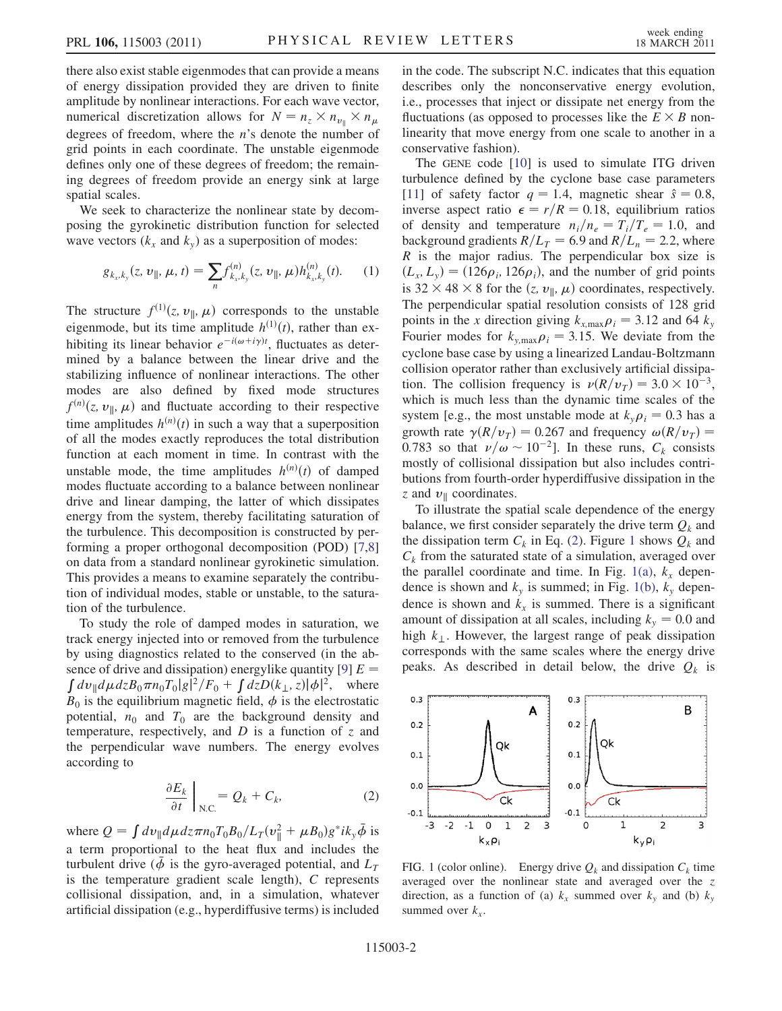there also exist stable eigenmodes that can provide a means of energy dissipation provided they are driven to finite amplitude by nonlinear interactions. For each wave vector, numerical discretization allows for  $N = n_z \times n_{\nu_{\parallel}} \times n_{\mu}$ degrees of freedom, where the  $n$ 's denote the number of grid points in each coordinate. The unstable eigenmode defines only one of these degrees of freedom; the remaining degrees of freedom provide an energy sink at large spatial scales.

<span id="page-1-3"></span>We seek to characterize the nonlinear state by decomposing the gyrokinetic distribution function for selected wave vectors  $(k_x \text{ and } k_y)$  as a superposition of modes:

$$
g_{k_x,k_y}(z,\,\nu_{\parallel},\,\mu,\,t)=\sum_n f_{k_x,k_y}^{(n)}(z,\,\nu_{\parallel},\,\mu)h_{k_x,k_y}^{(n)}(t). \qquad (1)
$$

The structure  $f^{(1)}(z, v_{\parallel}, \mu)$  corresponds to the unstable eigenmode, but its time amplitude  $h^{(1)}(t)$ , rather than exhibiting its linear behavior  $e^{-i(\omega + i\gamma)t}$ , fluctuates as determined by a balance between the linear drive and the stabilizing influence of nonlinear interactions. The other modes are also defined by fixed mode structures  $f^{(n)}(z, v_{\parallel}, \mu)$  and fluctuate according to their respective time amplitudes  $h^{(n)}(t)$  in such a way that a superposition of all the modes exactly reproduces the total distribution function at each moment in time. In contrast with the unstable mode, the time amplitudes  $h^{(n)}(t)$  of damped modes fluctuate according to a balance between nonlinear drive and linear damping, the latter of which dissipates energy from the system, thereby facilitating saturation of the turbulence. This decomposition is constructed by performing a proper orthogonal decomposition (POD) [[7](#page-3-6)[,8\]](#page-3-7) on data from a standard nonlinear gyrokinetic simulation. This provides a means to examine separately the contribution of individual modes, stable or unstable, to the saturation of the turbulence.

To study the role of damped modes in saturation, we track energy injected into or removed from the turbulence by using diagnostics related to the conserved (in the ab-sence of drive and dissipation) energylike quantity [[9\]](#page-3-8)  $E = \int dv_{\parallel} d\mu dz B_0 \pi n_0 T_0 |g|^2 / F_0 + \int dz D(k_{\perp}, z) |\phi|^2$ , where  $B_0$  is the equilibrium magnetic field,  $\phi$  is the electrostatic potential,  $n_0$  and  $T_0$  are the background density and temperature, respectively, and  $D$  is a function of  $\zeta$  and the perpendicular wave numbers. The energy evolves according to

$$
\left. \frac{\partial E_k}{\partial t} \right|_{N.C.} = Q_k + C_k, \tag{2}
$$

<span id="page-1-0"></span>where  $Q = \int dv_{\parallel} d\mu dz \pi n_0 T_0 B_0 / L_T (v_{\parallel}^2 + \mu B_0) g^* i k_y \bar{\phi}$  is a term proportional to the heat flux and includes the turbulent drive ( $\phi$  is the gyro-averaged potential, and  $L_T$ is the temperature gradient scale length), C represents collisional dissipation, and, in a simulation, whatever artificial dissipation (e.g., hyperdiffusive terms) is included in the code. The subscript N.C. indicates that this equation describes only the nonconservative energy evolution, i.e., processes that inject or dissipate net energy from the fluctuations (as opposed to processes like the  $E \times B$  nonlinearity that move energy from one scale to another in a conservative fashion).

The GENE code [\[10\]](#page-3-9) is used to simulate ITG driven turbulence defined by the cyclone base case parameters [\[11\]](#page-3-10) of safety factor  $q = 1.4$ , magnetic shear  $\hat{s} = 0.8$ , inverse aspect ratio  $\epsilon = r/R = 0.18$ , equilibrium ratios of density and temperature  $n_i/n_e = T_i/T_e = 1.0$ , and background gradients  $R/L_T = 6.9$  and  $R/L_n = 2.2$ , where  $R$  is the major radius. The perpendicular box size is  $(L_x, L_y) = (126\rho_i, 126\rho_i)$ , and the number of grid points is 32  $\times$  48  $\times$  8 for the  $(z, v_{\parallel}, \mu)$  coordinates, respectively. The perpendicular spatial resolution consists of 128 grid points in the x direction giving  $k_{x,\text{max}}\rho_i = 3.12$  and 64  $k_y$ Fourier modes for  $k_{y,\text{max}}\rho_i = 3.15$ . We deviate from the cyclone base case by using a linearized Landau-Boltzmann collision operator rather than exclusively artificial dissipation. The collision frequency is  $\nu(R/v_T) = 3.0 \times 10^{-3}$ , which is much less than the dynamic time scales of the system [e.g., the most unstable mode at  $k_{y} \rho_{i} = 0.3$  has a growth rate  $\gamma(R/v_T) = 0.267$  and frequency  $\omega(R/v_T) =$ 0.783 so that  $\nu/\omega \sim 10^{-2}$ . In these runs,  $C_k$  consists mostly of collisional dissipation but also includes contributions from fourth-order hyperdiffusive dissipation in the z and  $v_{\parallel}$  coordinates.

To illustrate the spatial scale dependence of the energy balance, we first consider separately the drive term  $Q_k$  and the dissipation term  $C_k$  in Eq. ([2](#page-1-0)). Figure [1](#page-1-1) shows  $Q_k$  and  $C_k$  from the saturated state of a simulation, averaged over the parallel coordinate and time. In Fig. [1\(a\)](#page-1-2),  $k<sub>r</sub>$  dependence is shown and  $k_y$  is summed; in Fig. [1\(b\)](#page-1-2),  $k_y$  dependence is shown and  $k_x$  is summed. There is a significant amount of dissipation at all scales, including  $k_y = 0.0$  and high  $k_{\perp}$ . However, the largest range of peak dissipation corresponds with the same scales where the energy drive peaks. As described in detail below, the drive  $Q_k$  is

<span id="page-1-1"></span>

<span id="page-1-2"></span>FIG. 1 (color online). Energy drive  $Q_k$  and dissipation  $C_k$  time averaged over the nonlinear state and averaged over the z direction, as a function of (a)  $k_x$  summed over  $k_y$  and (b)  $k_y$ summed over  $k_x$ .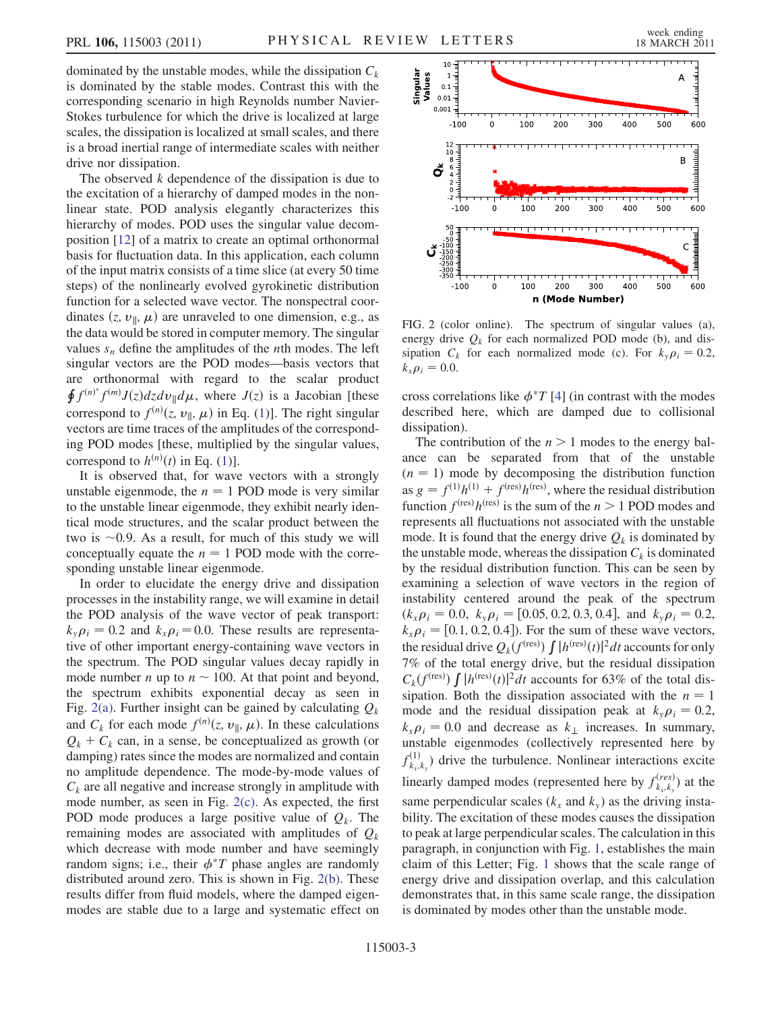dominated by the unstable modes, while the dissipation  $C_k$ is dominated by the stable modes. Contrast this with the corresponding scenario in high Reynolds number Navier-Stokes turbulence for which the drive is localized at large scales, the dissipation is localized at small scales, and there is a broad inertial range of intermediate scales with neither drive nor dissipation.

The observed  $k$  dependence of the dissipation is due to the excitation of a hierarchy of damped modes in the nonlinear state. POD analysis elegantly characterizes this hierarchy of modes. POD uses the singular value decomposition [\[12\]](#page-3-11) of a matrix to create an optimal orthonormal basis for fluctuation data. In this application, each column of the input matrix consists of a time slice (at every 50 time steps) of the nonlinearly evolved gyrokinetic distribution function for a selected wave vector. The nonspectral coordinates  $(z, v_{\parallel}, \mu)$  are unraveled to one dimension, e.g., as the data would be stored in computer memory. The singular values  $s_n$  define the amplitudes of the *n*th modes. The left singular vectors are the POD modes—basis vectors that are orthonormal with regard to the scalar product  $\oint f^{(n)*} f^{(m)} J(z) dz dv_{\parallel} d\mu$ , where  $J(z)$  is a Jacobian [these correspond to  $f^{(n)}(z, v_{\parallel}, \mu)$  in Eq. ([1\)](#page-1-3)]. The right singular vectors are time traces of the amplitudes of the corresponding POD modes [these, multiplied by the singular values, correspond to  $h^{(n)}(t)$  in Eq. [\(1](#page-1-3))].

It is observed that, for wave vectors with a strongly unstable eigenmode, the  $n = 1$  POD mode is very similar to the unstable linear eigenmode, they exhibit nearly identical mode structures, and the scalar product between the two is  $\sim$ 0.9. As a result, for much of this study we will conceptually equate the  $n = 1$  POD mode with the corresponding unstable linear eigenmode.

In order to elucidate the energy drive and dissipation processes in the instability range, we will examine in detail the POD analysis of the wave vector of peak transport:  $k_{y}\rho_{i} = 0.2$  and  $k_{x}\rho_{i} = 0.0$ . These results are representative of other important energy-containing wave vectors in the spectrum. The POD singular values decay rapidly in mode number *n* up to  $n \sim 100$ . At that point and beyond, the spectrum exhibits exponential decay as seen in Fig. [2\(a\).](#page-2-0) Further insight can be gained by calculating  $Q_k$ and  $C_k$  for each mode  $f^{(n)}(z, v_{\parallel}, \mu)$ . In these calculations  $Q_k + C_k$  can, in a sense, be conceptualized as growth (or damping) rates since the modes are normalized and contain no amplitude dependence. The mode-by-mode values of  $C_k$  are all negative and increase strongly in amplitude with mode number, as seen in Fig. [2\(c\).](#page-2-0) As expected, the first POD mode produces a large positive value of  $Q_k$ . The remaining modes are associated with amplitudes of  $Q_k$ which decrease with mode number and have seemingly random signs; i.e., their  $\phi^*T$  phase angles are randomly distributed around zero. This is shown in Fig. [2\(b\)](#page-2-0). These results differ from fluid models, where the damped eigenmodes are stable due to a large and systematic effect on



<span id="page-2-0"></span>FIG. 2 (color online). The spectrum of singular values (a), energy drive  $Q_k$  for each normalized POD mode (b), and dissipation  $C_k$  for each normalized mode (c). For  $k_y \rho_i = 0.2$ ,  $k_x \rho_i = 0.0.$ 

cross correlations like  $\phi^*T$  [[4\]](#page-3-3) (in contrast with the modes described here, which are damped due to collisional dissipation).

The contribution of the  $n > 1$  modes to the energy balance can be separated from that of the unstable  $(n = 1)$  mode by decomposing the distribution function as  $g = f^{(1)}h^{(1)} + f^{(res)}h^{(res)}$ , where the residual distribution function  $f<sup>(res)</sup>h<sup>(res)</sup>$  is the sum of the  $n > 1$  POD modes and represents all fluctuations not associated with the unstable mode. It is found that the energy drive  $Q_k$  is dominated by the unstable mode, whereas the dissipation  $C_k$  is dominated by the residual distribution function. This can be seen by examining a selection of wave vectors in the region of instability centered around the peak of the spectrum  $(k_x \rho_i = 0.0, k_y \rho_i = [0.05, 0.2, 0.3, 0.4],$  and  $k_y \rho_i = 0.2$ ,  $k_x \rho_i = [0.1, 0.2, 0.4]$ . For the sum of these wave vectors, the residual drive  $Q_k(f^{(\text{res})}) \int |h^{(\text{res})}(t)|^2 dt$  accounts for only 7% of the total energy drive, but the residual dissipation  $C_k(f^{(\text{res})}) \int |h^{(\text{res})}(t)|^2 dt$  accounts for 63% of the total dissipation. Both the dissipation associated with the  $n = 1$ mode and the residual dissipation peak at  $k_{y} \rho_{i} = 0.2$ ,  $k_x \rho_i = 0.0$  and decrease as  $k_{\perp}$  increases. In summary, unstable eigenmodes (collectively represented here by  $f_{k_x,k_y}^{(1)}$  drive the turbulence. Nonlinear interactions excite linearly damped modes (represented here by  $f_{k_x,k_y}^{(res)}$ ) at the same perpendicular scales ( $k_x$  and  $k_y$ ) as the driving instability. The excitation of these modes causes the dissipation to peak at large perpendicular scales. The calculation in this paragraph, in conjunction with Fig. [1](#page-1-1), establishes the main claim of this Letter; Fig. [1](#page-1-1) shows that the scale range of energy drive and dissipation overlap, and this calculation demonstrates that, in this same scale range, the dissipation is dominated by modes other than the unstable mode.